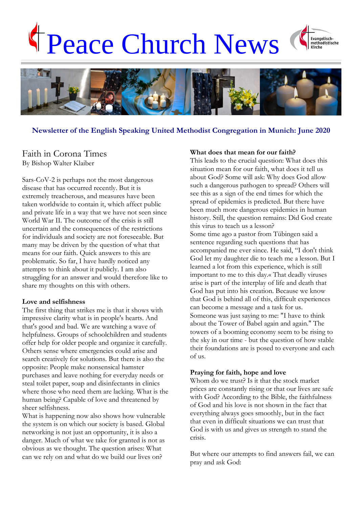# Peace Church News





#### **Newsletter of the English Speaking United Methodist Congregation in Munich: June 2020**

## Faith in Corona Times By Bishop Walter Klaiber

Sars-CoV-2 is perhaps not the most dangerous disease that has occurred recently. But it is extremely treacherous, and measures have been taken worldwide to contain it, which affect public and private life in a way that we have not seen since World War II. The outcome of the crisis is still uncertain and the consequences of the restrictions for individuals and society are not foreseeable. But many may be driven by the question of what that means for our faith. Quick answers to this are problematic. So far, I have hardly noticed any attempts to think about it publicly. I am also struggling for an answer and would therefore like to share my thoughts on this with others.

#### **Love and selfishness**

The first thing that strikes me is that it shows with impressive clarity what is in people's hearts. And that's good and bad. We are watching a wave of helpfulness. Groups of schoolchildren and students offer help for older people and organize it carefully. Others sense where emergencies could arise and search creatively for solutions. But there is also the opposite: People make nonsensical hamster purchases and leave nothing for everyday needs or steal toilet paper, soap and disinfectants in clinics where those who need them are lacking. What is the human being? Capable of love and threatened by sheer selfishness.

What is happening now also shows how vulnerable the system is on which our society is based. Global networking is not just an opportunity, it is also a danger. Much of what we take for granted is not as obvious as we thought. The question arises: What can we rely on and what do we build our lives on?

#### **What does that mean for our faith?**

This leads to the crucial question: What does this situation mean for our faith, what does it tell us about God? Some will ask: Why does God allow such a dangerous pathogen to spread? Others will see this as a sign of the end times for which the spread of epidemics is predicted. But there have been much more dangerous epidemics in human history. Still, the question remains: Did God create this virus to teach us a lesson? Some time ago a pastor from Tübingen said a sentence regarding such questions that has accompanied me ever since. He said, "I don't think God let my daughter die to teach me a lesson. But I learned a lot from this experience, which is still important to me to this day.« That deadly viruses arise is part of the interplay of life and death that God has put into his creation. Because we know that God is behind all of this, difficult experiences can become a message and a task for us. Someone was just saying to me: "I have to think about the Tower of Babel again and again." The towers of a booming economy seem to be rising to the sky in our time - but the question of how stable their foundations are is posed to everyone and each of us.

#### **Praying for faith, hope and love**

Whom do we trust? Is it that the stock market prices are constantly rising or that our lives are safe with God? According to the Bible, the faithfulness of God and his love is not shown in the fact that everything always goes smoothly, but in the fact that even in difficult situations we can trust that God is with us and gives us strength to stand the crisis.

But where our attempts to find answers fail, we can pray and ask God: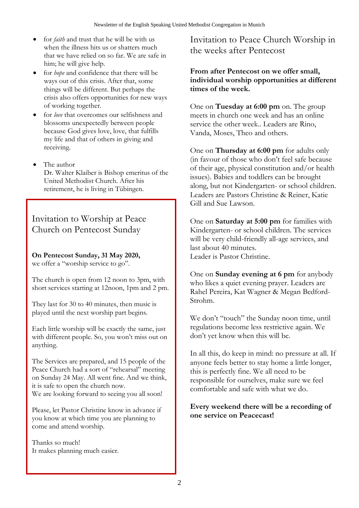- for *faith* and trust that he will be with us when the illness hits us or shatters much that we have relied on so far. We are safe in him; he will give help.
- for *hope* and confidence that there will be ways out of this crisis. After that, some things will be different. But perhaps the crisis also offers opportunities for new ways of working together.
- for *love* that overcomes our selfishness and blossoms unexpectedly between people because God gives love, love, that fulfills my life and that of others in giving and receiving.
- The author Dr. Walter Klaiber is Bishop emeritus of the United Methodist Church. After his retirement, he is living in Tübingen.

Invitation to Worship at Peace Church on Pentecost Sunday

# **On Pentecost Sunday, 31 May 2020,**

we offer a "worship service to go".

The church is open from 12 noon to 3pm, with short services starting at 12noon, 1pm and 2 pm.

They last for 30 to 40 minutes, then music is played until the next worship part begins.

Each little worship will be exactly the same, just with different people. So, you won't miss out on anything.

The Services are prepared, and 15 people of the Peace Church had a sort of "rehearsal" meeting on Sunday 24 May. All went fine. And we think, it is safe to open the church now. We are looking forward to seeing you all soon!

Please, let Pastor Christine know in advance if you know at which time you are planning to come and attend worship.

Thanks so much! It makes planning much easier. Invitation to Peace Church Worship in the weeks after Pentecost

## **From after Pentecost on we offer small, individual worship opportunities at different times of the week.**

One on **Tuesday at 6:00 pm** on. The group meets in church one week and has an online service the other week.. Leaders are Rino, Vanda, Moses, Theo and others.

One on **Thursday at 6:00 pm** for adults only (in favour of those who don't feel safe because of their age, physical constitution and/or health issues). Babies and toddlers can be brought along, but not Kindergarten- or school children. Leaders are Pastors Christine & Reiner, Katie Gill and Sue Lawson.

One on **Saturday at 5:00 pm** for families with Kindergarten- or school children. The services will be very child-friendly all-age services, and last about 40 minutes. Leader is Pastor Christine.

One on **Sunday evening at 6 pm** for anybody who likes a quiet evening prayer. Leaders are Rahel Pereira, Kat Wagner & Megan Bedford-Strohm.

We don't "touch" the Sunday noon time, until regulations become less restrictive again. We don't yet know when this will be.

In all this, do keep in mind: no pressure at all. If anyone feels better to stay home a little longer, this is perfectly fine. We all need to be responsible for ourselves, make sure we feel comfortable and safe with what we do.

## **Every weekend there will be a recording of one service on Peacecast!**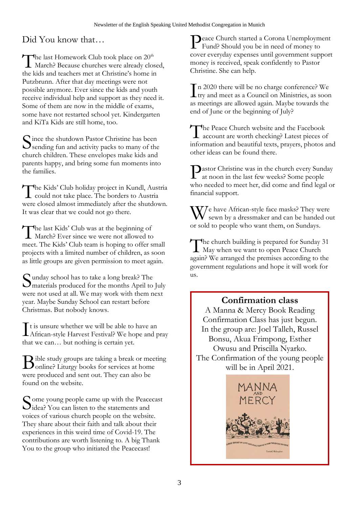Did You know that…

The last Homework Club took place on 20<sup>th</sup><br>March? Because churches were already clo **1** March? Because churches were already closed, the kids and teachers met at Christine's home in Putzbrunn. After that day meetings were not possible anymore. Ever since the kids and youth receive individual help and support as they need it. Some of them are now in the middle of exams, some have not restarted school yet. Kindergarten and KiTa Kids are still home, too.

Since the shutdown Pastor Christine has been<br>Sending fun and activity packs to many of the  $\mathbf{\mathcal{S}}$  sending fun and activity packs to many of the church children. These envelopes make kids and parents happy, and bring some fun moments into the families.

The Kids' Club holiday project in Kundl, Austria<br>could not take place. The borders to Austria could not take place. The borders to Austria were closed almost immediately after the shutdown. It was clear that we could not go there.

The last Kids' Club was at the beginning of<br>March? Ever since we were not allowed to **L** March? Ever since we were not allowed to meet. The Kids' Club team is hoping to offer small projects with a limited number of children, as soon as little groups are given permission to meet again.

unday school has to take a long break? The Sunday school has to take a long break? The<br>
materials produced for the months April to July were not used at all. We may work with them next year. Maybe Sunday School can restart before Christmas. But nobody knows.

t is unsure whether we will be able to have an It is unsure whether we will be able to have an<br>African-style Harvest Festival? We hope and pray that we can… but nothing is certain yet.

ible study groups are taking a break or meeting Bible study groups are taking a break or meet<br>Oonline? Liturgy books for services at home were produced and sent out. They can also be found on the website.

Some young people came up with the Peacecast<br>dea? You can listen to the statements and idea? You can listen to the statements and voices of various church people on the website. They share about their faith and talk about their experiences in this weird time of Covid-19. The contributions are worth listening to. A big Thank You to the group who initiated the Peacecast!

Peace Church started a Corona Unemployment<br>Fund? Should you be in need of money to Fund? Should you be in need of money to cover everyday expenses until government support money is received, speak confidently to Pastor Christine. She can help.

n 2020 there will be no charge conference? We  $\prod$ n 2020 there will be no charge conference? We<br>try and meet as a Council on Ministries, as soon as meetings are allowed again. Maybe towards the end of June or the beginning of July?

The Peace Church website and the Facebook<br>account are worth checking? Latest pieces o account are worth checking? Latest pieces of information and beautiful texts, prayers, photos and other ideas can be found there.

**P**astor Christine was in the church every Sunday<br>at noon in the last few weeks? Some people at noon in the last few weeks? Some people who needed to meet her, did come and find legal or financial support.

We have African-style face masks? They were<br>sewn by a dressmaker and can be handed ou sewn by a dressmaker and can be handed out or sold to people who want them, on Sundays.

The church building is prepared for Sunday 31<br>May when we want to open Peace Church May when we want to open Peace Church again? We arranged the premises according to the government regulations and hope it will work for us.

# **Confirmation class**

A Manna & Mercy Book Reading Confirmation Class has just begun. In the group are: Joel Talleh, Russel Bonsu, Akua Frimpong, Esther Owusu and Priscilla Nyarko. The Confirmation of the young people will be in April 2021.